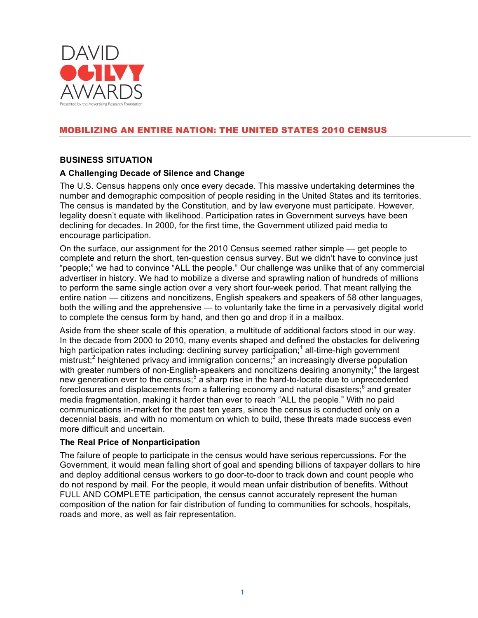

# MOBILIZING AN ENTIRE NATION: THE UNITED STATES 2010 CENSUS

#### **BUSINESS SITUATION**

#### **A Challenging Decade of Silence and Change**

The U.S. Census happens only once every decade. This massive undertaking determines the number and demographic composition of people residing in the United States and its territories. The census is mandated by the Constitution, and by law everyone must participate. However, legality doesn't equate with likelihood. Participation rates in Government surveys have been declining for decades. In 2000, for the first time, the Government utilized paid media to encourage participation.

On the surface, our assignment for the 2010 Census seemed rather simple — get people to complete and return the short, ten-question census survey. But we didn't have to convince just "people;" we had to convince "ALL the people." Our challenge was unlike that of any commercial advertiser in history. We had to mobilize a diverse and sprawling nation of hundreds of millions to perform the same single action over a very short four-week period. That meant rallying the entire nation — citizens and noncitizens, English speakers and speakers of 58 other languages, both the willing and the apprehensive — to voluntarily take the time in a pervasively digital world to complete the census form by hand, and then go and drop it in a mailbox.

Aside from the sheer scale of this operation, a multitude of additional factors stood in our way. In the decade from 2000 to 2010, many events shaped and defined the obstacles for delivering high participation rates including: declining survey participation;<sup>1</sup> all-time-high government mistrust;<sup>2</sup> heightened privacy and immigration concerns;<sup>3</sup> an increasingly diverse population with greater numbers of non-English-speakers and noncitizens desiring anonymity;<sup>4</sup> the largest new generation ever to the census;<sup>5</sup> a sharp rise in the hard-to-locate due to unprecedented foreclosures and displacements from a faltering economy and natural disasters; $<sup>6</sup>$  and greater</sup> media fragmentation, making it harder than ever to reach "ALL the people." With no paid communications in-market for the past ten years, since the census is conducted only on a decennial basis, and with no momentum on which to build, these threats made success even more difficult and uncertain.

#### **The Real Price of Nonparticipation**

The failure of people to participate in the census would have serious repercussions. For the Government, it would mean falling short of goal and spending billions of taxpayer dollars to hire and deploy additional census workers to go door-to-door to track down and count people who do not respond by mail. For the people, it would mean unfair distribution of benefits. Without FULL AND COMPLETE participation, the census cannot accurately represent the human composition of the nation for fair distribution of funding to communities for schools, hospitals, roads and more, as well as fair representation.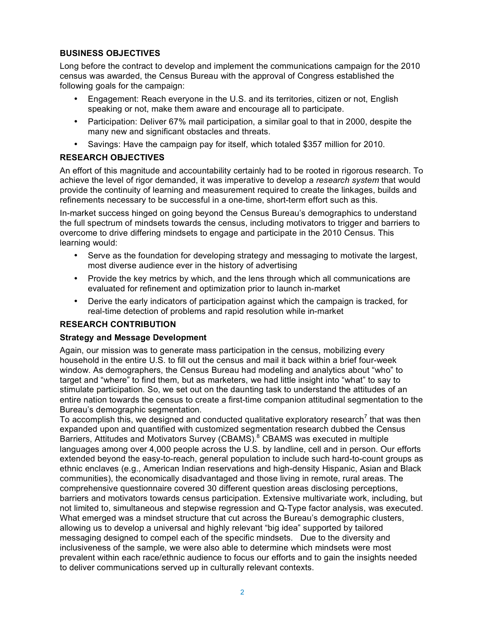# **BUSINESS OBJECTIVES**

Long before the contract to develop and implement the communications campaign for the 2010 census was awarded, the Census Bureau with the approval of Congress established the following goals for the campaign:

- Engagement: Reach everyone in the U.S. and its territories, citizen or not, English speaking or not, make them aware and encourage all to participate.
- Participation: Deliver 67% mail participation, a similar goal to that in 2000, despite the many new and significant obstacles and threats.
- Savings: Have the campaign pay for itself, which totaled \$357 million for 2010.

# **RESEARCH OBJECTIVES**

An effort of this magnitude and accountability certainly had to be rooted in rigorous research. To achieve the level of rigor demanded, it was imperative to develop a *research system* that would provide the continuity of learning and measurement required to create the linkages, builds and refinements necessary to be successful in a one-time, short-term effort such as this.

In-market success hinged on going beyond the Census Bureau's demographics to understand the full spectrum of mindsets towards the census, including motivators to trigger and barriers to overcome to drive differing mindsets to engage and participate in the 2010 Census. This learning would:

- Serve as the foundation for developing strategy and messaging to motivate the largest, most diverse audience ever in the history of advertising
- Provide the key metrics by which, and the lens through which all communications are evaluated for refinement and optimization prior to launch in-market
- Derive the early indicators of participation against which the campaign is tracked, for real-time detection of problems and rapid resolution while in-market

#### **RESEARCH CONTRIBUTION**

#### **Strategy and Message Development**

Again, our mission was to generate mass participation in the census, mobilizing every household in the entire U.S. to fill out the census and mail it back within a brief four-week window. As demographers, the Census Bureau had modeling and analytics about "who" to target and "where" to find them, but as marketers, we had little insight into "what" to say to stimulate participation. So, we set out on the daunting task to understand the attitudes of an entire nation towards the census to create a first-time companion attitudinal segmentation to the Bureau's demographic segmentation.

To accomplish this, we designed and conducted qualitative exploratory research<sup>7</sup> that was then expanded upon and quantified with customized segmentation research dubbed the Census Barriers, Attitudes and Motivators Survey (CBAMS).<sup>8</sup> CBAMS was executed in multiple languages among over 4,000 people across the U.S. by landline, cell and in person. Our efforts extended beyond the easy-to-reach, general population to include such hard-to-count groups as ethnic enclaves (e.g., American Indian reservations and high-density Hispanic, Asian and Black communities), the economically disadvantaged and those living in remote, rural areas. The comprehensive questionnaire covered 30 different question areas disclosing perceptions, barriers and motivators towards census participation. Extensive multivariate work, including, but not limited to, simultaneous and stepwise regression and Q-Type factor analysis, was executed. What emerged was a mindset structure that cut across the Bureau's demographic clusters, allowing us to develop a universal and highly relevant "big idea" supported by tailored messaging designed to compel each of the specific mindsets. Due to the diversity and inclusiveness of the sample, we were also able to determine which mindsets were most prevalent within each race/ethnic audience to focus our efforts and to gain the insights needed to deliver communications served up in culturally relevant contexts.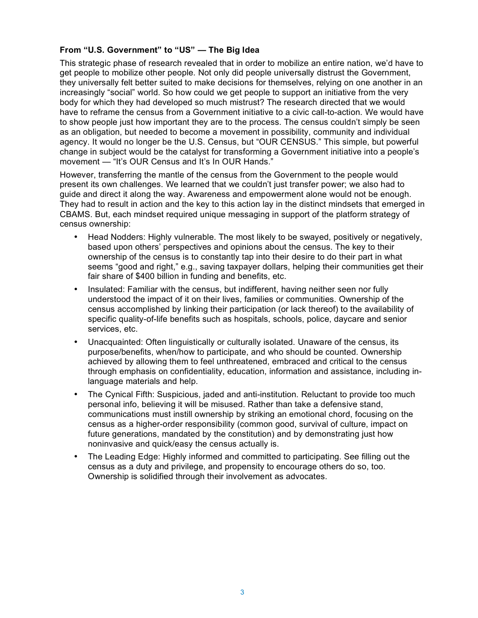# **From "U.S. Government" to "US" — The Big Idea**

This strategic phase of research revealed that in order to mobilize an entire nation, we'd have to get people to mobilize other people. Not only did people universally distrust the Government, they universally felt better suited to make decisions for themselves, relying on one another in an increasingly "social" world. So how could we get people to support an initiative from the very body for which they had developed so much mistrust? The research directed that we would have to reframe the census from a Government initiative to a civic call-to-action. We would have to show people just how important they are to the process. The census couldn't simply be seen as an obligation, but needed to become a movement in possibility, community and individual agency. It would no longer be the U.S. Census, but "OUR CENSUS." This simple, but powerful change in subject would be the catalyst for transforming a Government initiative into a people's movement — "It's OUR Census and It's In OUR Hands."

However, transferring the mantle of the census from the Government to the people would present its own challenges. We learned that we couldn't just transfer power; we also had to guide and direct it along the way. Awareness and empowerment alone would not be enough. They had to result in action and the key to this action lay in the distinct mindsets that emerged in CBAMS. But, each mindset required unique messaging in support of the platform strategy of census ownership:

- Head Nodders: Highly vulnerable. The most likely to be swayed, positively or negatively, based upon others' perspectives and opinions about the census. The key to their ownership of the census is to constantly tap into their desire to do their part in what seems "good and right," e.g., saving taxpayer dollars, helping their communities get their fair share of \$400 billion in funding and benefits, etc.
- Insulated: Familiar with the census, but indifferent, having neither seen nor fully understood the impact of it on their lives, families or communities. Ownership of the census accomplished by linking their participation (or lack thereof) to the availability of specific quality-of-life benefits such as hospitals, schools, police, daycare and senior services, etc.
- Unacquainted: Often linguistically or culturally isolated. Unaware of the census, its purpose/benefits, when/how to participate, and who should be counted. Ownership achieved by allowing them to feel unthreatened, embraced and critical to the census through emphasis on confidentiality, education, information and assistance, including inlanguage materials and help.
- The Cynical Fifth: Suspicious, jaded and anti-institution. Reluctant to provide too much personal info, believing it will be misused. Rather than take a defensive stand, communications must instill ownership by striking an emotional chord, focusing on the census as a higher-order responsibility (common good, survival of culture, impact on future generations, mandated by the constitution) and by demonstrating just how noninvasive and quick/easy the census actually is.
- The Leading Edge: Highly informed and committed to participating. See filling out the census as a duty and privilege, and propensity to encourage others do so, too. Ownership is solidified through their involvement as advocates.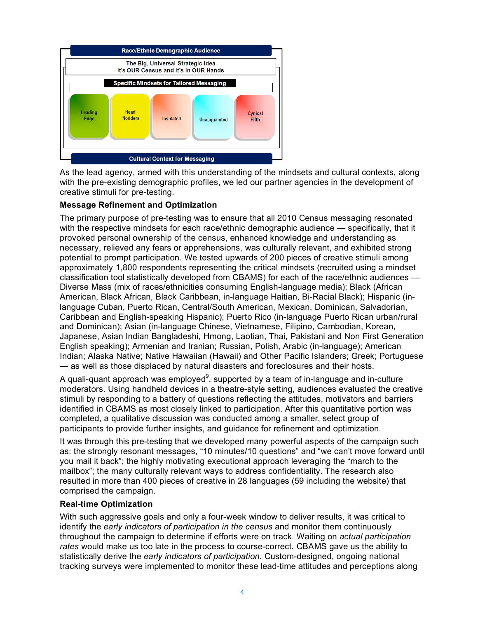

As the lead agency, armed with this understanding of the mindsets and cultural contexts, along with the pre-existing demographic profiles, we led our partner agencies in the development of creative stimuli for pre-testing.

### **Message Refinement and Optimization**

The primary purpose of pre-testing was to ensure that all 2010 Census messaging resonated with the respective mindsets for each race/ethnic demographic audience — specifically, that it provoked personal ownership of the census, enhanced knowledge and understanding as necessary, relieved any fears or apprehensions, was culturally relevant, and exhibited strong potential to prompt participation. We tested upwards of 200 pieces of creative stimuli among approximately 1,800 respondents representing the critical mindsets (recruited using a mindset classification tool statistically developed from CBAMS) for each of the race/ethnic audiences — Diverse Mass (mix of races/ethnicities consuming English-language media); Black (African American, Black African, Black Caribbean, in-language Haitian, Bi-Racial Black); Hispanic (inlanguage Cuban, Puerto Rican, Central/South American, Mexican, Dominican, Salvadorian, Caribbean and English-speaking Hispanic); Puerto Rico (in-language Puerto Rican urban/rural and Dominican); Asian (in-language Chinese, Vietnamese, Filipino, Cambodian, Korean, Japanese, Asian Indian Bangladeshi, Hmong, Laotian, Thai, Pakistani and Non First Generation English speaking); Armenian and Iranian; Russian, Polish, Arabic (in-language); American Indian; Alaska Native; Native Hawaiian (Hawaii) and Other Pacific Islanders; Greek; Portuguese — as well as those displaced by natural disasters and foreclosures and their hosts.

A quali-quant approach was employed $^9$ , supported by a team of in-language and in-culture moderators. Using handheld devices in a theatre-style setting, audiences evaluated the creative stimuli by responding to a battery of questions reflecting the attitudes, motivators and barriers identified in CBAMS as most closely linked to participation. After this quantitative portion was completed, a qualitative discussion was conducted among a smaller, select group of participants to provide further insights, and guidance for refinement and optimization.

It was through this pre-testing that we developed many powerful aspects of the campaign such as: the strongly resonant messages, "10 minutes/10 questions" and "we can't move forward until you mail it back"; the highly motivating executional approach leveraging the "march to the mailbox"; the many culturally relevant ways to address confidentiality. The research also resulted in more than 400 pieces of creative in 28 languages (59 including the website) that comprised the campaign.

#### **Real-time Optimization**

With such aggressive goals and only a four-week window to deliver results, it was critical to identify the *early indicators of participation in the census* and monitor them continuously throughout the campaign to determine if efforts were on track. Waiting on *actual participation rates* would make us too late in the process to course-correct. CBAMS gave us the ability to statistically derive the *early indicators of participation*. Custom-designed, ongoing national tracking surveys were implemented to monitor these lead-time attitudes and perceptions along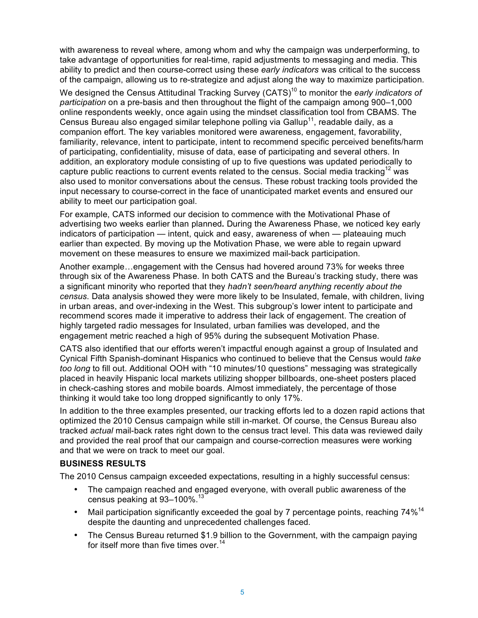with awareness to reveal where, among whom and why the campaign was underperforming, to take advantage of opportunities for real-time, rapid adjustments to messaging and media. This ability to predict and then course-correct using these *early indicators* was critical to the success of the campaign, allowing us to re-strategize and adjust along the way to maximize participation.

We designed the Census Attitudinal Tracking Survey (CATS)<sup>10</sup> to monitor the *early indicators of participation* on a pre-basis and then throughout the flight of the campaign among 900–1,000 online respondents weekly, once again using the mindset classification tool from CBAMS. The Census Bureau also engaged similar telephone polling via Gallup<sup>11</sup>, readable daily, as a companion effort. The key variables monitored were awareness, engagement, favorability, familiarity, relevance, intent to participate, intent to recommend specific perceived benefits/harm of participating, confidentiality, misuse of data, ease of participating and several others. In addition, an exploratory module consisting of up to five questions was updated periodically to capture public reactions to current events related to the census. Social media tracking<sup>12</sup> was also used to monitor conversations about the census. These robust tracking tools provided the input necessary to course-correct in the face of unanticipated market events and ensured our ability to meet our participation goal.

For example, CATS informed our decision to commence with the Motivational Phase of advertising two weeks earlier than planned**.** During the Awareness Phase, we noticed key early indicators of participation — intent, quick and easy, awareness of when — plateauing much earlier than expected. By moving up the Motivation Phase, we were able to regain upward movement on these measures to ensure we maximized mail-back participation.

Another example…engagement with the Census had hovered around 73% for weeks three through six of the Awareness Phase. In both CATS and the Bureau's tracking study, there was a significant minority who reported that they *hadn't seen/heard anything recently about the census*. Data analysis showed they were more likely to be Insulated, female, with children, living in urban areas, and over-indexing in the West. This subgroup's lower intent to participate and recommend scores made it imperative to address their lack of engagement. The creation of highly targeted radio messages for Insulated, urban families was developed, and the engagement metric reached a high of 95% during the subsequent Motivation Phase.

CATS also identified that our efforts weren't impactful enough against a group of Insulated and Cynical Fifth Spanish-dominant Hispanics who continued to believe that the Census would *take too long* to fill out. Additional OOH with "10 minutes/10 questions" messaging was strategically placed in heavily Hispanic local markets utilizing shopper billboards, one-sheet posters placed in check-cashing stores and mobile boards. Almost immediately, the percentage of those thinking it would take too long dropped significantly to only 17%.

In addition to the three examples presented, our tracking efforts led to a dozen rapid actions that optimized the 2010 Census campaign while still in-market. Of course, the Census Bureau also tracked *actual* mail-back rates right down to the census tract level. This data was reviewed daily and provided the real proof that our campaign and course-correction measures were working and that we were on track to meet our goal.

#### **BUSINESS RESULTS**

The 2010 Census campaign exceeded expectations, resulting in a highly successful census:

- The campaign reached and engaged everyone, with overall public awareness of the census peaking at 93-100%.<sup>13</sup>
- Mail participation significantly exceeded the goal by 7 percentage points, reaching 74%<sup>14</sup> despite the daunting and unprecedented challenges faced.
- The Census Bureau returned \$1.9 billion to the Government, with the campaign paying for itself more than five times over.<sup>14</sup>